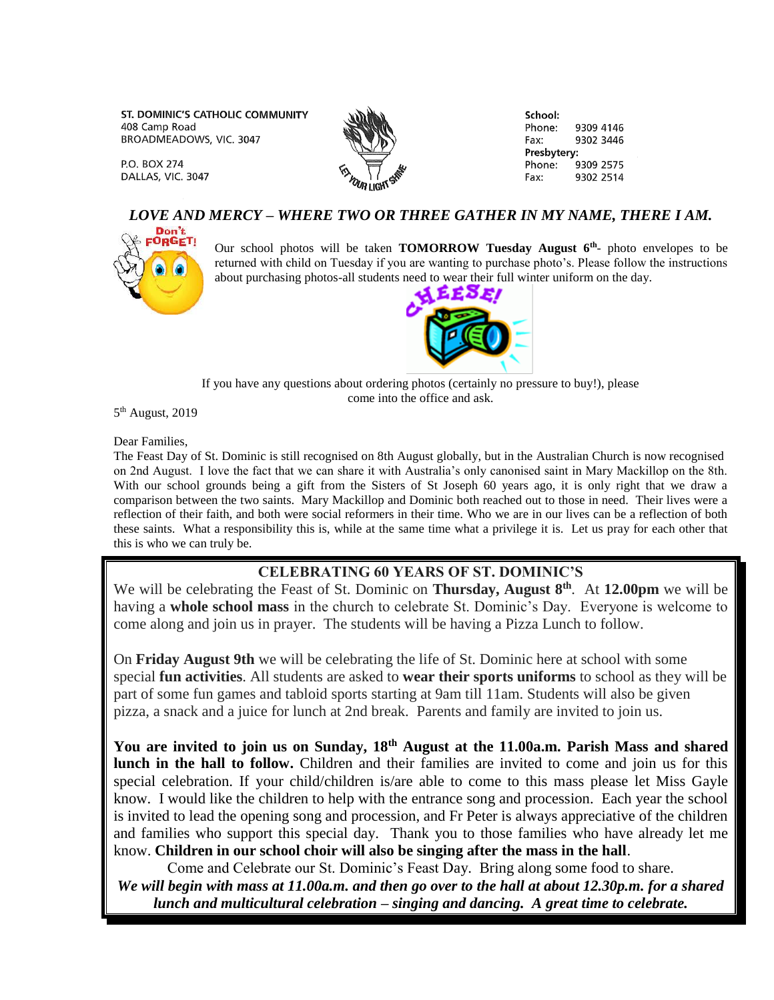ST. DOMINIC'S CATHOLIC COMMUNITY 408 Camp Road BROADMEADOWS, VIC. 3047

P.O. BOX 274 DALLAS, VIC. 3047



School: Phone: 9309 4146 Fax: 9302 3446 Presbytery: Phone: 9309 2575 9302 2514 Fax:

## *LOVE AND MERCY – WHERE TWO OR THREE GATHER IN MY NAME, THERE I AM.*



Our school photos will be taken **TOMORROW Tuesday August 6th** - photo envelopes to be returned with child on Tuesday if you are wanting to purchase photo's. Please follow the instructions about purchasing photos-all students need to wear their full winter uniform on the day.



If you have any questions about ordering photos (certainly no pressure to buy!), please come into the office and ask.

5<sup>th</sup> August, 2019

Dear Families,

The Feast Day of St. Dominic is still recognised on 8th August globally, but in the Australian Church is now recognised on 2nd August. I love the fact that we can share it with Australia's only canonised saint in Mary Mackillop on the 8th. With our school grounds being a gift from the Sisters of St Joseph 60 years ago, it is only right that we draw a comparison between the two saints. Mary Mackillop and Dominic both reached out to those in need. Their lives were a reflection of their faith, and both were social reformers in their time. Who we are in our lives can be a reflection of both these saints. What a responsibility this is, while at the same time what a privilege it is. Let us pray for each other that this is who we can truly be.

## **CELEBRATING 60 YEARS OF ST. DOMINIC'S**

We will be celebrating the Feast of St. Dominic on **Thursday, August 8th**. At **12.00pm** we will be having a **whole school mass** in the church to celebrate St. Dominic's Day. Everyone is welcome to come along and join us in prayer. The students will be having a Pizza Lunch to follow.

On **Friday August 9th** we will be celebrating the life of St. Dominic here at school with some special **fun activities**. All students are asked to **wear their sports uniforms** to school as they will be part of some fun games and tabloid sports starting at 9am till 11am. Students will also be given pizza, a snack and a juice for lunch at 2nd break. Parents and family are invited to join us.

**You are invited to join us on Sunday, 18th August at the 11.00a.m. Parish Mass and shared lunch in the hall to follow.** Children and their families are invited to come and join us for this special celebration. If your child/children is/are able to come to this mass please let Miss Gayle know. I would like the children to help with the entrance song and procession. Each year the school is invited to lead the opening song and procession, and Fr Peter is always appreciative of the children and families who support this special day. Thank you to those families who have already let me know. **Children in our school choir will also be singing after the mass in the hall**.

Come and Celebrate our St. Dominic's Feast Day. Bring along some food to share.

*We will begin with mass at 11.00a.m. and then go over to the hall at about 12.30p.m. for a shared lunch and multicultural celebration – singing and dancing. A great time to celebrate.*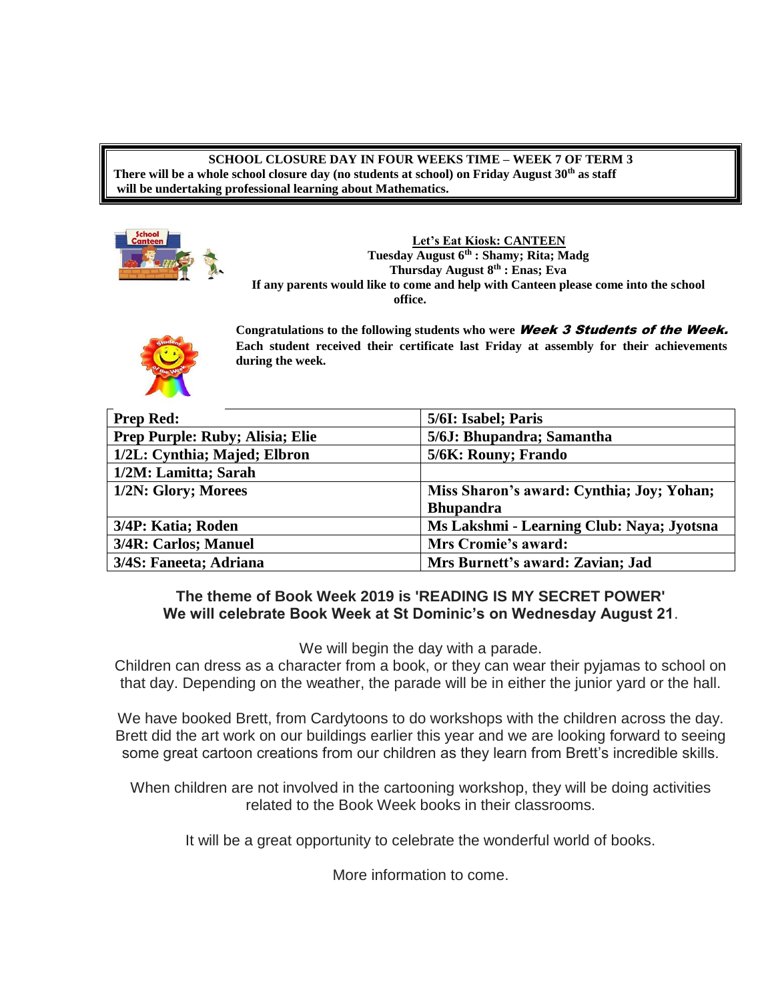**SCHOOL CLOSURE DAY IN FOUR WEEKS TIME – WEEK 7 OF TERM 3 There will be a whole school closure day (no students at school) on Friday August 30th as staff will be undertaking professional learning about Mathematics.**



**Let's Eat Kiosk: CANTEEN Tuesday August 6th : Shamy; Rita; Madg Thursday August 8 th : Enas; Eva If any parents would like to come and help with Canteen please come into the school office.**



**Congratulations to the following students who were** Week 3 Students of the Week. **Each student received their certificate last Friday at assembly for their achievements during the week.**

| <b>Prep Red:</b>                       | 5/6I: Isabel; Paris                       |
|----------------------------------------|-------------------------------------------|
| <b>Prep Purple: Ruby; Alisia; Elie</b> | 5/6J: Bhupandra; Samantha                 |
| 1/2L: Cynthia; Majed; Elbron           | 5/6K: Rouny; Frando                       |
| 1/2M: Lamitta; Sarah                   |                                           |
| 1/2N: Glory; Morees                    | Miss Sharon's award: Cynthia; Joy; Yohan; |
|                                        | <b>Bhupandra</b>                          |
| 3/4P: Katia; Roden                     | Ms Lakshmi - Learning Club: Naya; Jyotsna |
| 3/4R: Carlos; Manuel                   | Mrs Cromie's award:                       |
| 3/4S: Faneeta; Adriana                 | Mrs Burnett's award: Zavian; Jad          |

## **The theme of Book Week 2019 is 'READING IS MY SECRET POWER' We will celebrate Book Week at St Dominic's on Wednesday August 21**.

We will begin the day with a parade.

Children can dress as a character from a book, or they can wear their pyjamas to school on that day. Depending on the weather, the parade will be in either the junior yard or the hall.

We have booked Brett, from Cardytoons to do workshops with the children across the day. Brett did the art work on our buildings earlier this year and we are looking forward to seeing some great cartoon creations from our children as they learn from Brett's incredible skills.

When children are not involved in the cartooning workshop, they will be doing activities related to the Book Week books in their classrooms.

It will be a great opportunity to celebrate the wonderful world of books.

More information to come.